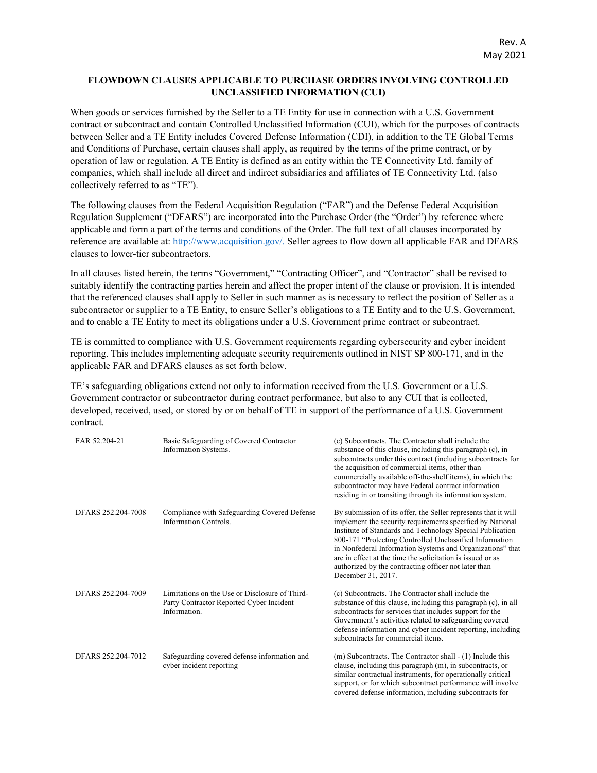## **FLOWDOWN CLAUSES APPLICABLE TO PURCHASE ORDERS INVOLVING CONTROLLED UNCLASSIFIED INFORMATION (CUI)**

When goods or services furnished by the Seller to a TE Entity for use in connection with a U.S. Government contract or subcontract and contain Controlled Unclassified Information (CUI), which for the purposes of contracts between Seller and a TE Entity includes Covered Defense Information (CDI), in addition to the TE Global Terms and Conditions of Purchase, certain clauses shall apply, as required by the terms of the prime contract, or by operation of law or regulation. A TE Entity is defined as an entity within the TE Connectivity Ltd. family of companies, which shall include all direct and indirect subsidiaries and affiliates of TE Connectivity Ltd. (also collectively referred to as "TE").

The following clauses from the Federal Acquisition Regulation ("FAR") and the Defense Federal Acquisition Regulation Supplement ("DFARS") are incorporated into the Purchase Order (the "Order") by reference where applicable and form a part of the terms and conditions of the Order. The full text of all clauses incorporated by reference are available at: [http://www.acquisition.gov/.](http://www.acquisition.gov/) Seller agrees to flow down all applicable FAR and DFARS clauses to lower-tier subcontractors.

In all clauses listed herein, the terms "Government," "Contracting Officer", and "Contractor" shall be revised to suitably identify the contracting parties herein and affect the proper intent of the clause or provision. It is intended that the referenced clauses shall apply to Seller in such manner as is necessary to reflect the position of Seller as a subcontractor or supplier to a TE Entity, to ensure Seller's obligations to a TE Entity and to the U.S. Government, and to enable a TE Entity to meet its obligations under a U.S. Government prime contract or subcontract.

TE is committed to compliance with U.S. Government requirements regarding cybersecurity and cyber incident reporting. This includes implementing adequate security requirements outlined in NIST SP 800-171, and in the applicable FAR and DFARS clauses as set forth below.

TE's safeguarding obligations extend not only to information received from the U.S. Government or a U.S. Government contractor or subcontractor during contract performance, but also to any CUI that is collected, developed, received, used, or stored by or on behalf of TE in support of the performance of a U.S. Government contract.

| FAR 52.204-21      | Basic Safeguarding of Covered Contractor<br>Information Systems.                                           | (c) Subcontracts. The Contractor shall include the<br>substance of this clause, including this paragraph (c), in<br>subcontracts under this contract (including subcontracts for<br>the acquisition of commercial items, other than<br>commercially available off-the-shelf items), in which the<br>subcontractor may have Federal contract information<br>residing in or transiting through its information system.                                         |
|--------------------|------------------------------------------------------------------------------------------------------------|--------------------------------------------------------------------------------------------------------------------------------------------------------------------------------------------------------------------------------------------------------------------------------------------------------------------------------------------------------------------------------------------------------------------------------------------------------------|
| DFARS 252.204-7008 | Compliance with Safeguarding Covered Defense<br><b>Information Controls.</b>                               | By submission of its offer, the Seller represents that it will<br>implement the security requirements specified by National<br>Institute of Standards and Technology Special Publication<br>800-171 "Protecting Controlled Unclassified Information<br>in Nonfederal Information Systems and Organizations" that<br>are in effect at the time the solicitation is issued or as<br>authorized by the contracting officer not later than<br>December 31, 2017. |
| DFARS 252.204-7009 | Limitations on the Use or Disclosure of Third-<br>Party Contractor Reported Cyber Incident<br>Information. | (c) Subcontracts. The Contractor shall include the<br>substance of this clause, including this paragraph (c), in all<br>subcontracts for services that includes support for the<br>Government's activities related to safeguarding covered<br>defense information and cyber incident reporting, including<br>subcontracts for commercial items.                                                                                                              |
| DFARS 252.204-7012 | Safeguarding covered defense information and<br>cyber incident reporting                                   | (m) Subcontracts. The Contractor shall - (1) Include this<br>clause, including this paragraph (m), in subcontracts, or<br>similar contractual instruments, for operationally critical<br>support, or for which subcontract performance will involve<br>covered defense information, including subcontracts for                                                                                                                                               |